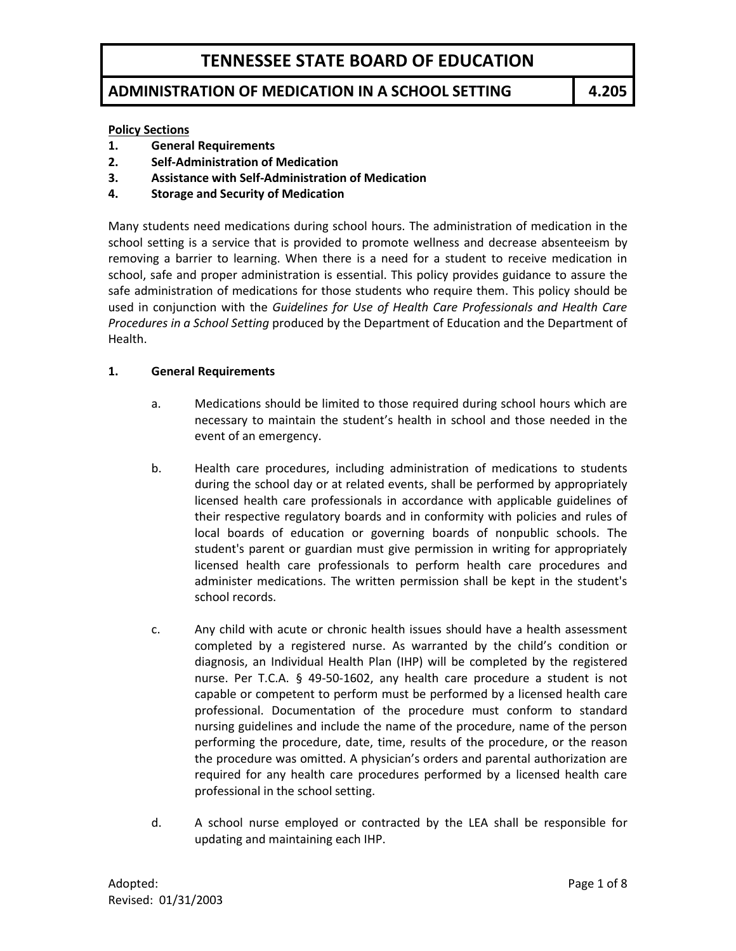### **ADMINISTRATION OF MEDICATION IN A SCHOOL SETTING 4.205**

#### **Policy Sections**

- **1. General Requirements**
- **2. Self-Administration of Medication**
- **3. Assistance with Self-Administration of Medication**
- **4. Storage and Security of Medication**

Many students need medications during school hours. The administration of medication in the school setting is a service that is provided to promote wellness and decrease absenteeism by removing a barrier to learning. When there is a need for a student to receive medication in school, safe and proper administration is essential. This policy provides guidance to assure the safe administration of medications for those students who require them. This policy should be used in conjunction with the *Guidelines for Use of Health Care Professionals and Health Care Procedures in a School Setting* produced by the Department of Education and the Department of Health.

#### **1. General Requirements**

- a. Medications should be limited to those required during school hours which are necessary to maintain the student's health in school and those needed in the event of an emergency.
- b. Health care procedures, including administration of medications to students during the school day or at related events, shall be performed by appropriately licensed health care professionals in accordance with applicable guidelines of their respective regulatory boards and in conformity with policies and rules of local boards of education or governing boards of nonpublic schools. The student's parent or guardian must give permission in writing for appropriately licensed health care professionals to perform health care procedures and administer medications. The written permission shall be kept in the student's school records.
- c. Any child with acute or chronic health issues should have a health assessment completed by a registered nurse. As warranted by the child's condition or diagnosis, an Individual Health Plan (IHP) will be completed by the registered nurse. Per T.C.A. § 49-50-1602, any health care procedure a student is not capable or competent to perform must be performed by a licensed health care professional. Documentation of the procedure must conform to standard nursing guidelines and include the name of the procedure, name of the person performing the procedure, date, time, results of the procedure, or the reason the procedure was omitted. A physician's orders and parental authorization are required for any health care procedures performed by a licensed health care professional in the school setting.
- d. A school nurse employed or contracted by the LEA shall be responsible for updating and maintaining each IHP.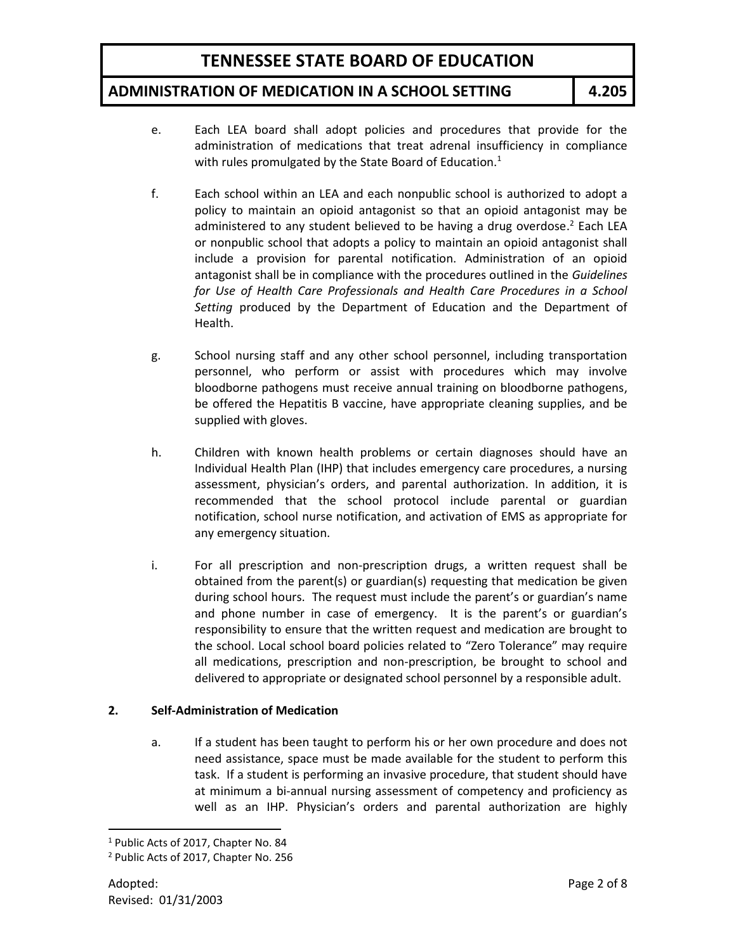### **ADMINISTRATION OF MEDICATION IN A SCHOOL SETTING 4.205**

- e. Each LEA board shall adopt policies and procedures that provide for the administration of medications that treat adrenal insufficiency in compliance with rules promulgated by the State Board of Education.<sup>1</sup>
- f. Each school within an LEA and each nonpublic school is authorized to adopt a policy to maintain an opioid antagonist so that an opioid antagonist may be administered to any student believed to be having a drug overdose.<sup>2</sup> Each LEA or nonpublic school that adopts a policy to maintain an opioid antagonist shall include a provision for parental notification. Administration of an opioid antagonist shall be in compliance with the procedures outlined in the *Guidelines*  for Use of Health Care Professionals and Health Care Procedures in a School *Setting* produced by the Department of Education and the Department of Health.
- g. School nursing staff and any other school personnel, including transportation personnel, who perform or assist with procedures which may involve bloodborne pathogens must receive annual training on bloodborne pathogens, be offered the Hepatitis B vaccine, have appropriate cleaning supplies, and be supplied with gloves.
- h. Children with known health problems or certain diagnoses should have an Individual Health Plan (IHP) that includes emergency care procedures, a nursing assessment, physician's orders, and parental authorization. In addition, it is recommended that the school protocol include parental or guardian notification, school nurse notification, and activation of EMS as appropriate for any emergency situation.
- i. For all prescription and non-prescription drugs, a written request shall be obtained from the parent(s) or guardian(s) requesting that medication be given during school hours. The request must include the parent's or guardian's name and phone number in case of emergency. It is the parent's or guardian's responsibility to ensure that the written request and medication are brought to the school. Local school board policies related to "Zero Tolerance" may require all medications, prescription and non-prescription, be brought to school and delivered to appropriate or designated school personnel by a responsible adult.

#### **2. Self-Administration of Medication**

a. If a student has been taught to perform his or her own procedure and does not need assistance, space must be made available for the student to perform this task. If a student is performing an invasive procedure, that student should have at minimum a bi-annual nursing assessment of competency and proficiency as well as an IHP. Physician's orders and parental authorization are highly

l

<sup>&</sup>lt;sup>1</sup> Public Acts of 2017, Chapter No. 84

<sup>2</sup> Public Acts of 2017, Chapter No. 256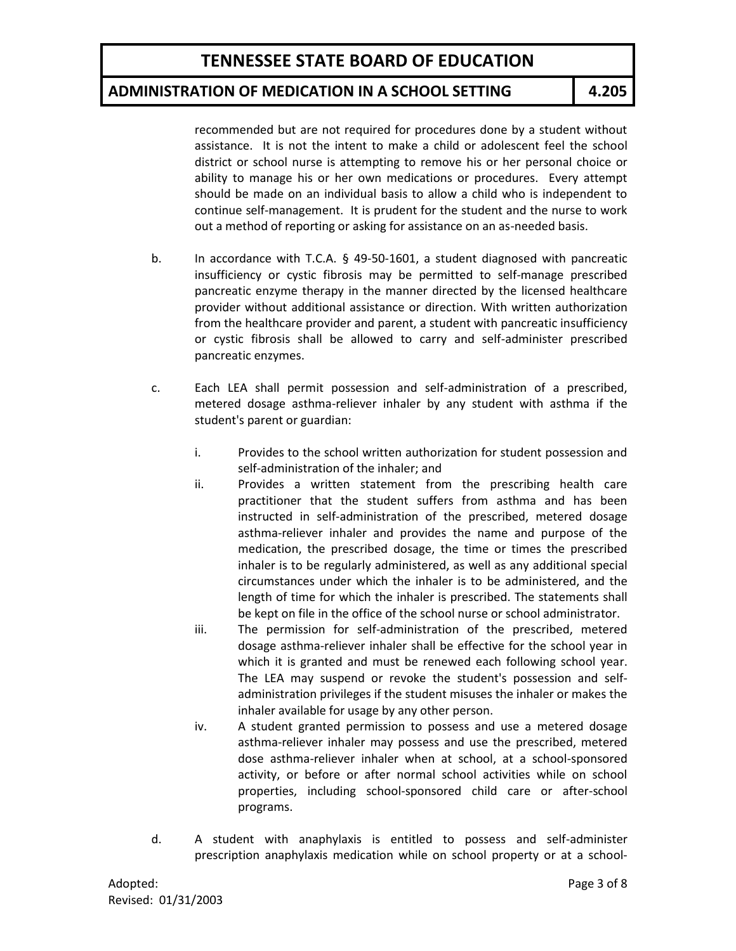### **ADMINISTRATION OF MEDICATION IN A SCHOOL SETTING 4.205**

recommended but are not required for procedures done by a student without assistance. It is not the intent to make a child or adolescent feel the school district or school nurse is attempting to remove his or her personal choice or ability to manage his or her own medications or procedures. Every attempt should be made on an individual basis to allow a child who is independent to continue self-management. It is prudent for the student and the nurse to work out a method of reporting or asking for assistance on an as-needed basis.

- b. In accordance with T.C.A. § 49-50-1601, a student diagnosed with pancreatic insufficiency or cystic fibrosis may be permitted to self-manage prescribed pancreatic enzyme therapy in the manner directed by the licensed healthcare provider without additional assistance or direction. With written authorization from the healthcare provider and parent, a student with pancreatic insufficiency or cystic fibrosis shall be allowed to carry and self-administer prescribed pancreatic enzymes.
- c. Each LEA shall permit possession and self-administration of a prescribed, metered dosage asthma-reliever inhaler by any student with asthma if the student's parent or guardian:
	- i. Provides to the school written authorization for student possession and self-administration of the inhaler; and
	- ii. Provides a written statement from the prescribing health care practitioner that the student suffers from asthma and has been instructed in self-administration of the prescribed, metered dosage asthma-reliever inhaler and provides the name and purpose of the medication, the prescribed dosage, the time or times the prescribed inhaler is to be regularly administered, as well as any additional special circumstances under which the inhaler is to be administered, and the length of time for which the inhaler is prescribed. The statements shall be kept on file in the office of the school nurse or school administrator.
	- iii. The permission for self-administration of the prescribed, metered dosage asthma-reliever inhaler shall be effective for the school year in which it is granted and must be renewed each following school year. The LEA may suspend or revoke the student's possession and selfadministration privileges if the student misuses the inhaler or makes the inhaler available for usage by any other person.
	- iv. A student granted permission to possess and use a metered dosage asthma-reliever inhaler may possess and use the prescribed, metered dose asthma-reliever inhaler when at school, at a school-sponsored activity, or before or after normal school activities while on school properties, including school-sponsored child care or after-school programs.
- d. A student with anaphylaxis is entitled to possess and self-administer prescription anaphylaxis medication while on school property or at a school-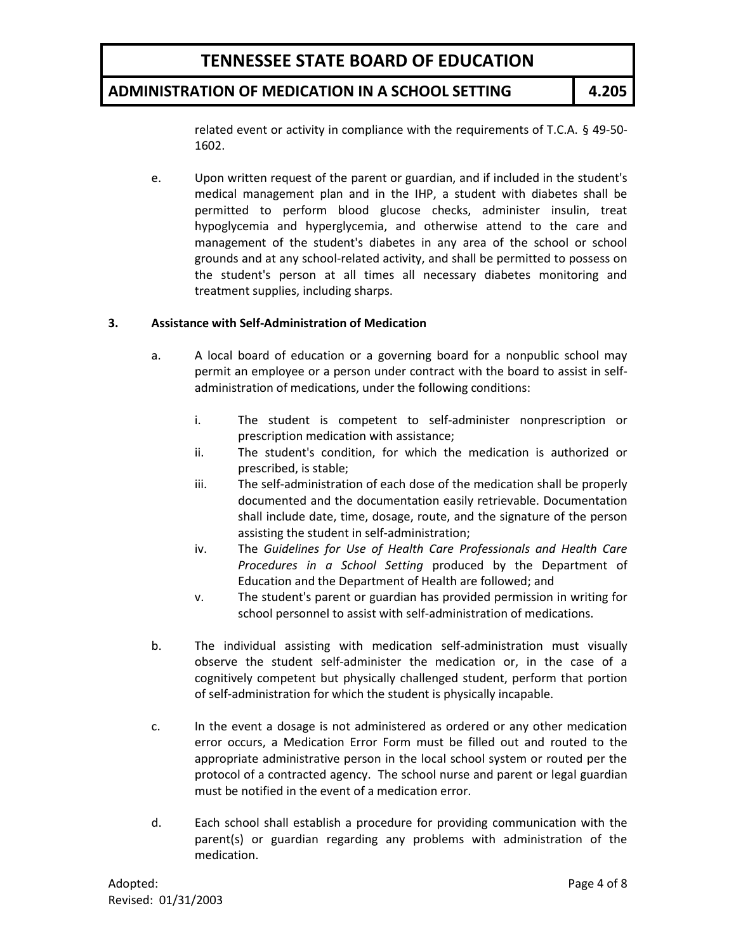### **ADMINISTRATION OF MEDICATION IN A SCHOOL SETTING 4.205**

related event or activity in compliance with the requirements of T.C.A. § 49-50- 1602.

e. Upon written request of the parent or guardian, and if included in the student's medical management plan and in the IHP, a student with diabetes shall be permitted to perform blood glucose checks, administer insulin, treat hypoglycemia and hyperglycemia, and otherwise attend to the care and management of the student's diabetes in any area of the school or school grounds and at any school-related activity, and shall be permitted to possess on the student's person at all times all necessary diabetes monitoring and treatment supplies, including sharps.

#### **3. Assistance with Self-Administration of Medication**

- a. A local board of education or a governing board for a nonpublic school may permit an employee or a person under contract with the board to assist in selfadministration of medications, under the following conditions:
	- i. The student is competent to self-administer nonprescription or prescription medication with assistance;
	- ii. The student's condition, for which the medication is authorized or prescribed, is stable;
	- iii. The self-administration of each dose of the medication shall be properly documented and the documentation easily retrievable. Documentation shall include date, time, dosage, route, and the signature of the person assisting the student in self-administration;
	- iv. The *Guidelines for Use of Health Care Professionals and Health Care Procedures in a School Setting* produced by the Department of Education and the Department of Health are followed; and
	- v. The student's parent or guardian has provided permission in writing for school personnel to assist with self-administration of medications.
- b. The individual assisting with medication self-administration must visually observe the student self-administer the medication or, in the case of a cognitively competent but physically challenged student, perform that portion of self-administration for which the student is physically incapable.
- c. In the event a dosage is not administered as ordered or any other medication error occurs, a Medication Error Form must be filled out and routed to the appropriate administrative person in the local school system or routed per the protocol of a contracted agency. The school nurse and parent or legal guardian must be notified in the event of a medication error.
- d. Each school shall establish a procedure for providing communication with the parent(s) or guardian regarding any problems with administration of the medication.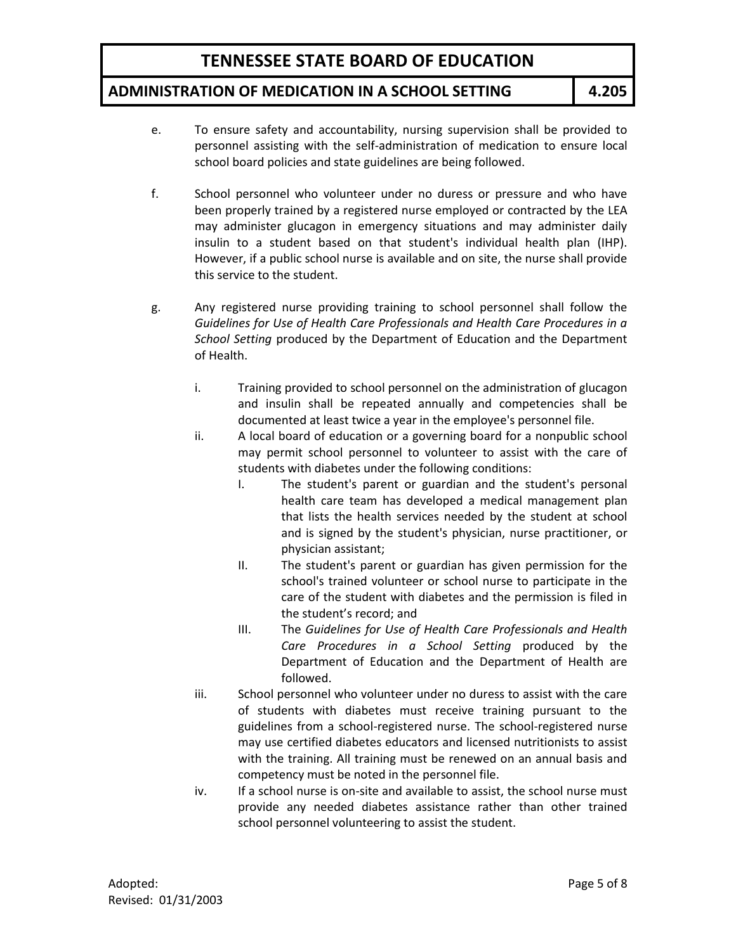### **ADMINISTRATION OF MEDICATION IN A SCHOOL SETTING 4.205**

- e. To ensure safety and accountability, nursing supervision shall be provided to personnel assisting with the self-administration of medication to ensure local school board policies and state guidelines are being followed.
- f. School personnel who volunteer under no duress or pressure and who have been properly trained by a registered nurse employed or contracted by the LEA may administer glucagon in emergency situations and may administer daily insulin to a student based on that student's individual health plan (IHP). However, if a public school nurse is available and on site, the nurse shall provide this service to the student.
- g. Any registered nurse providing training to school personnel shall follow the *Guidelines for Use of Health Care Professionals and Health Care Procedures in a School Setting* produced by the Department of Education and the Department of Health.
	- i. Training provided to school personnel on the administration of glucagon and insulin shall be repeated annually and competencies shall be documented at least twice a year in the employee's personnel file.
	- ii. A local board of education or a governing board for a nonpublic school may permit school personnel to volunteer to assist with the care of students with diabetes under the following conditions:
		- I. The student's parent or guardian and the student's personal health care team has developed a medical management plan that lists the health services needed by the student at school and is signed by the student's physician, nurse practitioner, or physician assistant;
		- II. The student's parent or guardian has given permission for the school's trained volunteer or school nurse to participate in the care of the student with diabetes and the permission is filed in the student's record; and
		- III. The *Guidelines for Use of Health Care Professionals and Health Care Procedures in a School Setting* produced by the Department of Education and the Department of Health are followed.
	- iii. School personnel who volunteer under no duress to assist with the care of students with diabetes must receive training pursuant to the guidelines from a school-registered nurse. The school-registered nurse may use certified diabetes educators and licensed nutritionists to assist with the training. All training must be renewed on an annual basis and competency must be noted in the personnel file.
	- iv. If a school nurse is on-site and available to assist, the school nurse must provide any needed diabetes assistance rather than other trained school personnel volunteering to assist the student.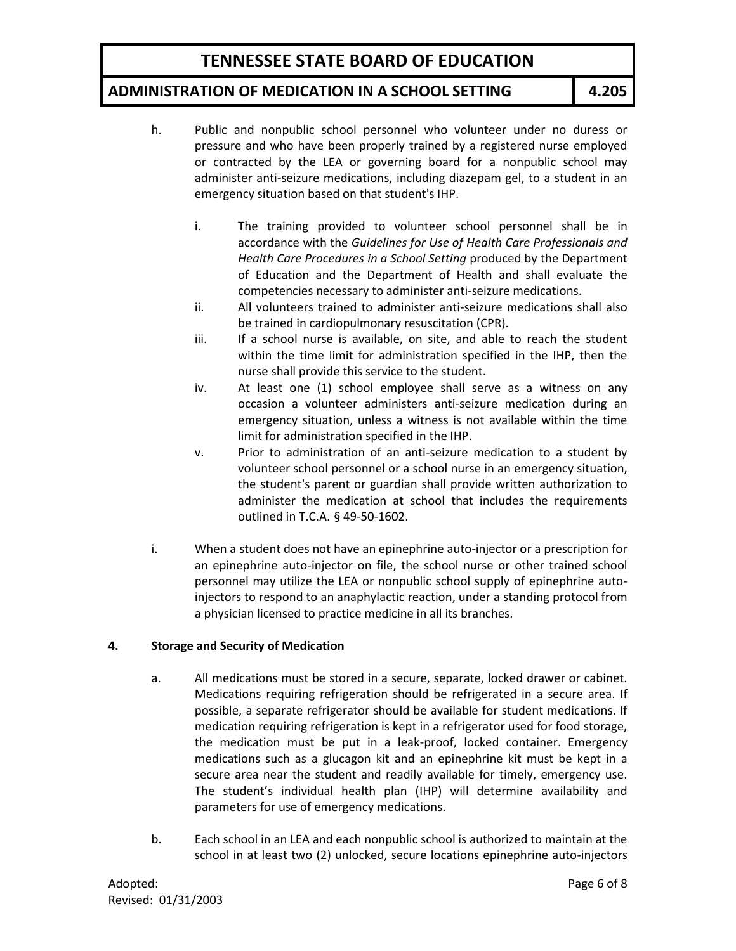### **ADMINISTRATION OF MEDICATION IN A SCHOOL SETTING 4.205**

- h. Public and nonpublic school personnel who volunteer under no duress or pressure and who have been properly trained by a registered nurse employed or contracted by the LEA or governing board for a nonpublic school may administer anti-seizure medications, including diazepam gel, to a student in an emergency situation based on that student's IHP.
	- i. The training provided to volunteer school personnel shall be in accordance with the *Guidelines for Use of Health Care Professionals and Health Care Procedures in a School Setting* produced by the Department of Education and the Department of Health and shall evaluate the competencies necessary to administer anti-seizure medications.
	- ii. All volunteers trained to administer anti-seizure medications shall also be trained in cardiopulmonary resuscitation (CPR).
	- iii. If a school nurse is available, on site, and able to reach the student within the time limit for administration specified in the IHP, then the nurse shall provide this service to the student.
	- iv. At least one (1) school employee shall serve as a witness on any occasion a volunteer administers anti-seizure medication during an emergency situation, unless a witness is not available within the time limit for administration specified in the IHP.
	- v. Prior to administration of an anti-seizure medication to a student by volunteer school personnel or a school nurse in an emergency situation, the student's parent or guardian shall provide written authorization to administer the medication at school that includes the requirements outlined in T.C.A. § 49-50-1602.
- i. When a student does not have an epinephrine auto-injector or a prescription for an epinephrine auto-injector on file, the school nurse or other trained school personnel may utilize the LEA or nonpublic school supply of epinephrine autoinjectors to respond to an anaphylactic reaction, under a standing protocol from a physician licensed to practice medicine in all its branches.

#### **4. Storage and Security of Medication**

- a. All medications must be stored in a secure, separate, locked drawer or cabinet. Medications requiring refrigeration should be refrigerated in a secure area. If possible, a separate refrigerator should be available for student medications. If medication requiring refrigeration is kept in a refrigerator used for food storage, the medication must be put in a leak-proof, locked container. Emergency medications such as a glucagon kit and an epinephrine kit must be kept in a secure area near the student and readily available for timely, emergency use. The student's individual health plan (IHP) will determine availability and parameters for use of emergency medications.
- b. Each school in an LEA and each nonpublic school is authorized to maintain at the school in at least two (2) unlocked, secure locations epinephrine auto-injectors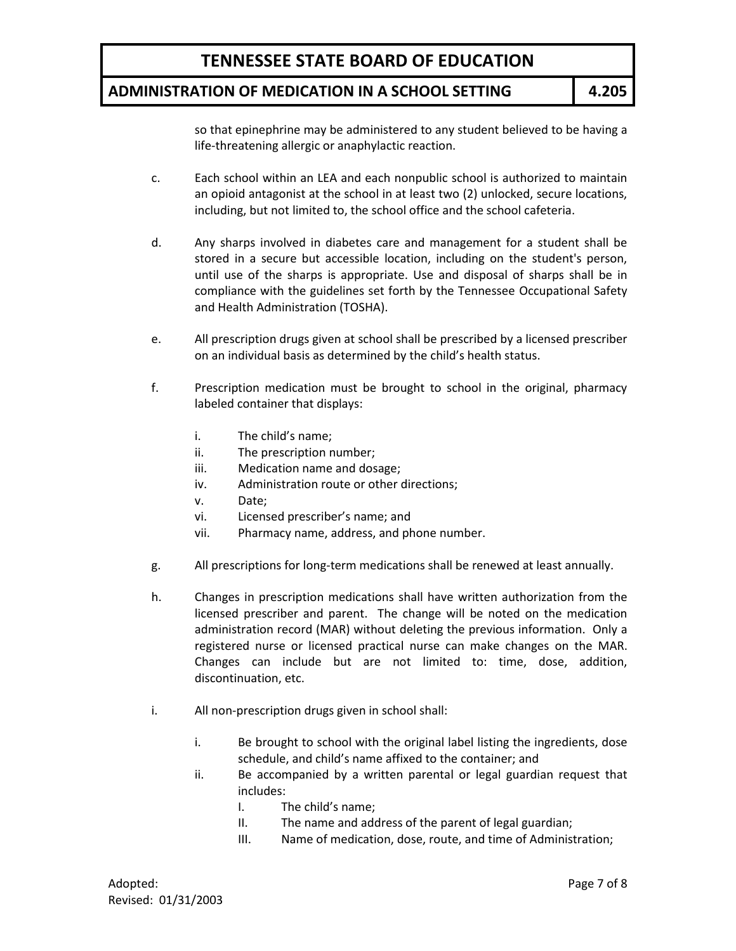### **ADMINISTRATION OF MEDICATION IN A SCHOOL SETTING 4.205**

so that epinephrine may be administered to any student believed to be having a life-threatening allergic or anaphylactic reaction.

- c. Each school within an LEA and each nonpublic school is authorized to maintain an opioid antagonist at the school in at least two (2) unlocked, secure locations, including, but not limited to, the school office and the school cafeteria.
- d. Any sharps involved in diabetes care and management for a student shall be stored in a secure but accessible location, including on the student's person, until use of the sharps is appropriate. Use and disposal of sharps shall be in compliance with the guidelines set forth by the Tennessee Occupational Safety and Health Administration (TOSHA).
- e. All prescription drugs given at school shall be prescribed by a licensed prescriber on an individual basis as determined by the child's health status.
- f. Prescription medication must be brought to school in the original, pharmacy labeled container that displays:
	- i. The child's name;
	- ii. The prescription number;
	- iii. Medication name and dosage;
	- iv. Administration route or other directions;
	- v. Date;
	- vi. Licensed prescriber's name; and
	- vii. Pharmacy name, address, and phone number.
- g. All prescriptions for long-term medications shall be renewed at least annually.
- h. Changes in prescription medications shall have written authorization from the licensed prescriber and parent. The change will be noted on the medication administration record (MAR) without deleting the previous information. Only a registered nurse or licensed practical nurse can make changes on the MAR. Changes can include but are not limited to: time, dose, addition, discontinuation, etc.
- i. All non-prescription drugs given in school shall:
	- i. Be brought to school with the original label listing the ingredients, dose schedule, and child's name affixed to the container; and
	- ii. Be accompanied by a written parental or legal guardian request that includes:
		- I. The child's name;
		- II. The name and address of the parent of legal guardian;
		- III. Name of medication, dose, route, and time of Administration;